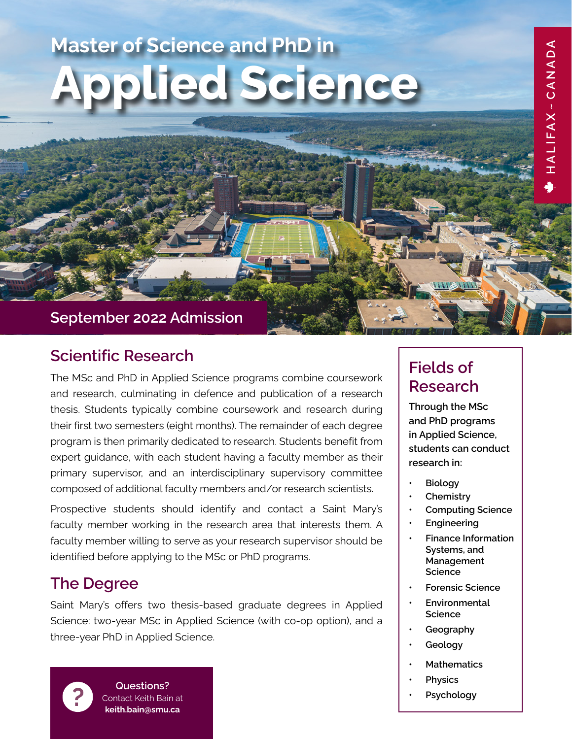# **Master of Science and PhD in Applied Science**

## **September 2022 Admission**

## **Scientific Research**

The MSc and PhD in Applied Science programs combine coursework and research, culminating in defence and publication of a research thesis. Students typically combine coursework and research during their first two semesters (eight months). The remainder of each degree program is then primarily dedicated to research. Students benefit from expert guidance, with each student having a faculty member as their primary supervisor, and an interdisciplinary supervisory committee composed of additional faculty members and/or research scientists.

Prospective students should identify and contact a Saint Mary's faculty member working in the research area that interests them. A faculty member willing to serve as your research supervisor should be identified before applying to the MSc or PhD programs.

## **The Degree**

Saint Mary's offers two thesis-based graduate degrees in Applied Science: two-year MSc in Applied Science (with co-op option), and a three-year PhD in Applied Science.



**P Questions?**<br> **Contact Keith Bair**<br> **Property** Contact Keith Bain at **keith.bain@smu.ca**

## **Fields of Research**

**Through the MSc and PhD programs in Applied Science, students can conduct research in:**

HALIFAX~CANADA

- **• Biology**
- **• Chemistry**
- **• Computing Science**
- **• Engineering**
- **• Finance Information Systems, and Management Science**
- **• Forensic Science**
- **• Environmental Science**
- **• Geography**
- **• Geology**
- **• Mathematics**
- **• Physics**
- **• Psychology**